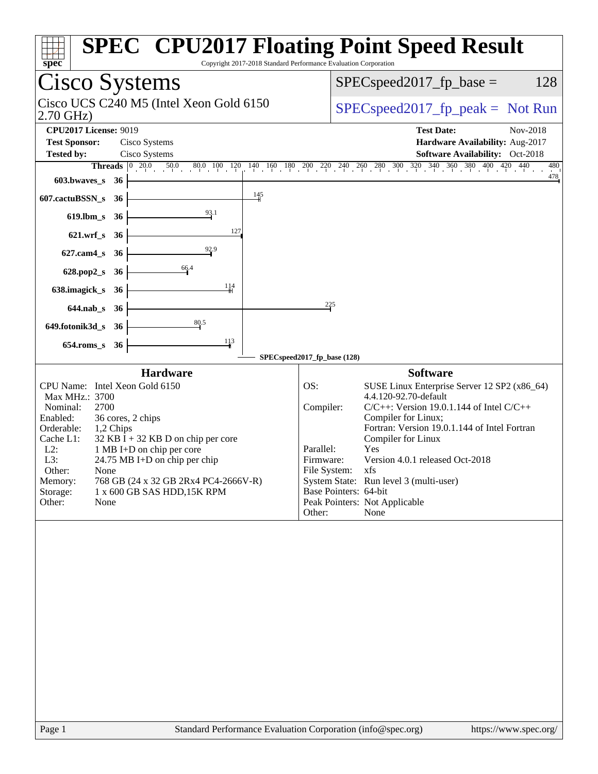| Spec<br>Copyright 2017-2018 Standard Performance Evaluation Corporation                                                                                                                                                                                                                                                                                                                                                   | <b>SPEC<sup>®</sup> CPU2017 Floating Point Speed Result</b>                                                                                                                                                                                                                                                                                                                                                                                                              |
|---------------------------------------------------------------------------------------------------------------------------------------------------------------------------------------------------------------------------------------------------------------------------------------------------------------------------------------------------------------------------------------------------------------------------|--------------------------------------------------------------------------------------------------------------------------------------------------------------------------------------------------------------------------------------------------------------------------------------------------------------------------------------------------------------------------------------------------------------------------------------------------------------------------|
| Cisco Systems                                                                                                                                                                                                                                                                                                                                                                                                             | 128<br>$SPEC speed2017fp base =$                                                                                                                                                                                                                                                                                                                                                                                                                                         |
| Cisco UCS C240 M5 (Intel Xeon Gold 6150<br>$2.70$ GHz)                                                                                                                                                                                                                                                                                                                                                                    | $SPEC speed2017rfp peak = Not Run$                                                                                                                                                                                                                                                                                                                                                                                                                                       |
| <b>CPU2017 License: 9019</b><br><b>Test Sponsor:</b><br>Cisco Systems<br><b>Tested by:</b><br>Cisco Systems<br>603.bwaves_s<br>- 36                                                                                                                                                                                                                                                                                       | <b>Test Date:</b><br>Nov-2018<br>Hardware Availability: Aug-2017<br>Software Availability: Oct-2018<br><b>Threads</b> $\begin{bmatrix} 0 & 20.0 & 50.0 & 80.0 & 100 & 120 & 140 & 160 & 180 & 200 & 220 & 240 & 260 & 280 & 300 & 320 & 340 & 360 & 380 & 400 & 420 & 440 \end{bmatrix}$<br>480<br>478                                                                                                                                                                   |
| $\frac{145}{ }$<br>607.cactuBSSN_s<br>36                                                                                                                                                                                                                                                                                                                                                                                  |                                                                                                                                                                                                                                                                                                                                                                                                                                                                          |
| 93.1<br>$619$ .lbm_s<br>36                                                                                                                                                                                                                                                                                                                                                                                                |                                                                                                                                                                                                                                                                                                                                                                                                                                                                          |
| 127<br>$621.wrf$ <sub>S</sub><br>- 36                                                                                                                                                                                                                                                                                                                                                                                     |                                                                                                                                                                                                                                                                                                                                                                                                                                                                          |
| 92.9<br>$627$ .cam $4$ <sub>S</sub><br>36                                                                                                                                                                                                                                                                                                                                                                                 |                                                                                                                                                                                                                                                                                                                                                                                                                                                                          |
| 66.4<br>628.pop2_s<br>36                                                                                                                                                                                                                                                                                                                                                                                                  |                                                                                                                                                                                                                                                                                                                                                                                                                                                                          |
| 114<br>638.imagick_s<br>-36                                                                                                                                                                                                                                                                                                                                                                                               |                                                                                                                                                                                                                                                                                                                                                                                                                                                                          |
| $644$ .nab $\sf s$<br>- 36                                                                                                                                                                                                                                                                                                                                                                                                | 225                                                                                                                                                                                                                                                                                                                                                                                                                                                                      |
| 80.5<br>649.fotonik3d_s<br>-36                                                                                                                                                                                                                                                                                                                                                                                            |                                                                                                                                                                                                                                                                                                                                                                                                                                                                          |
| $\frac{113}{4}$<br>$654$ .roms_s<br>36                                                                                                                                                                                                                                                                                                                                                                                    | SPECspeed2017_fp_base (128)                                                                                                                                                                                                                                                                                                                                                                                                                                              |
| <b>Hardware</b><br>CPU Name: Intel Xeon Gold 6150<br>Max MHz.: 3700<br>Nominal:<br>2700<br>Enabled:<br>36 cores, 2 chips<br>Orderable:<br>1,2 Chips<br>Cache L1:<br>$32$ KB I + 32 KB D on chip per core<br>$L2$ :<br>1 MB I+D on chip per core<br>L3:<br>24.75 MB I+D on chip per chip<br>Other:<br>None<br>768 GB (24 x 32 GB 2Rx4 PC4-2666V-R)<br>Memory:<br>1 x 600 GB SAS HDD, 15K RPM<br>Storage:<br>Other:<br>None | <b>Software</b><br>OS:<br>SUSE Linux Enterprise Server 12 SP2 (x86_64)<br>4.4.120-92.70-default<br>Compiler:<br>$C/C++$ : Version 19.0.1.144 of Intel $C/C++$<br>Compiler for Linux;<br>Fortran: Version 19.0.1.144 of Intel Fortran<br>Compiler for Linux<br>Parallel:<br>Yes<br>Version 4.0.1 released Oct-2018<br>Firmware:<br>File System: xfs<br>System State: Run level 3 (multi-user)<br>Base Pointers: 64-bit<br>Peak Pointers: Not Applicable<br>Other:<br>None |
|                                                                                                                                                                                                                                                                                                                                                                                                                           |                                                                                                                                                                                                                                                                                                                                                                                                                                                                          |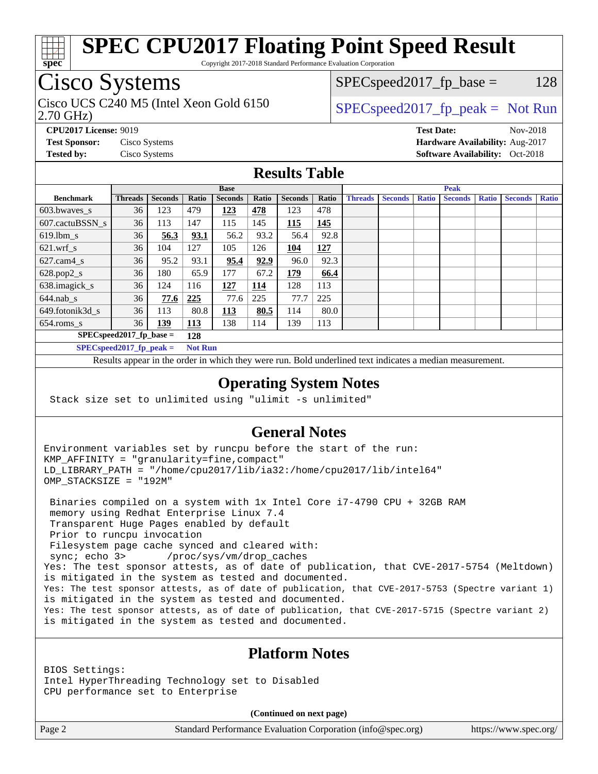

Copyright 2017-2018 Standard Performance Evaluation Corporation

# Cisco Systems

2.70 GHz) Cisco UCS C240 M5 (Intel Xeon Gold 6150  $SPECspeed2017_fpcak = Not Run$ 

 $SPEC speed2017_fp\_base = 128$ 

**[CPU2017 License:](http://www.spec.org/auto/cpu2017/Docs/result-fields.html#CPU2017License)** 9019 **[Test Date:](http://www.spec.org/auto/cpu2017/Docs/result-fields.html#TestDate)** Nov-2018 **[Test Sponsor:](http://www.spec.org/auto/cpu2017/Docs/result-fields.html#TestSponsor)** Cisco Systems **[Hardware Availability:](http://www.spec.org/auto/cpu2017/Docs/result-fields.html#HardwareAvailability)** Aug-2017 **[Tested by:](http://www.spec.org/auto/cpu2017/Docs/result-fields.html#Testedby)** Cisco Systems **Cisco Systems [Software Availability:](http://www.spec.org/auto/cpu2017/Docs/result-fields.html#SoftwareAvailability)** Oct-2018

### **[Results Table](http://www.spec.org/auto/cpu2017/Docs/result-fields.html#ResultsTable)**

|                            | <b>Base</b>    |                |                |                | <b>Peak</b> |                |       |                |                |              |                |              |                |              |
|----------------------------|----------------|----------------|----------------|----------------|-------------|----------------|-------|----------------|----------------|--------------|----------------|--------------|----------------|--------------|
| <b>Benchmark</b>           | <b>Threads</b> | <b>Seconds</b> | Ratio          | <b>Seconds</b> | Ratio       | <b>Seconds</b> | Ratio | <b>Threads</b> | <b>Seconds</b> | <b>Ratio</b> | <b>Seconds</b> | <b>Ratio</b> | <b>Seconds</b> | <b>Ratio</b> |
| 603.bwayes s               | 36             | 123            | 479            | 123            | 478         | 123            | 478   |                |                |              |                |              |                |              |
| 607.cactuBSSN s            | 36             | 113            | 147            | 115            | 145         | 115            | 145   |                |                |              |                |              |                |              |
| $619.$ lbm_s               | 36             | 56.3           | 93.1           | 56.2           | 93.2        | 56.4           | 92.8  |                |                |              |                |              |                |              |
| $621.wrf$ s                | 36             | 104            | 127            | 105            | 126         | 104            | 127   |                |                |              |                |              |                |              |
| $627$ .cam4 s              | 36             | 95.2           | 93.1           | 95.4           | 92.9        | 96.0           | 92.3  |                |                |              |                |              |                |              |
| $628.pop2_s$               | 36             | 180            | 65.9           | 177            | 67.2        | 179            | 66.4  |                |                |              |                |              |                |              |
| 638.imagick_s              | 36             | 124            | 116            | 127            | 114         | 128            | 113   |                |                |              |                |              |                |              |
| $644$ .nab s               | 36             | 77.6           | <u>225</u>     | 77.6           | 225         | 77.7           | 225   |                |                |              |                |              |                |              |
| 649.fotonik3d s            | 36             | 113            | 80.8           | 113            | 80.5        | 114            | 80.0  |                |                |              |                |              |                |              |
| $654$ .roms s              | 36             | 139            | <b>113</b>     | 138            | 114         | 139            | 113   |                |                |              |                |              |                |              |
| $SPEC speed2017$ fp base = |                | 128            |                |                |             |                |       |                |                |              |                |              |                |              |
| SPECspeed 2017 fp peak $=$ |                |                | <b>Not Run</b> |                |             |                |       |                |                |              |                |              |                |              |

Results appear in the [order in which they were run.](http://www.spec.org/auto/cpu2017/Docs/result-fields.html#RunOrder) Bold underlined text [indicates a median measurement](http://www.spec.org/auto/cpu2017/Docs/result-fields.html#Median).

### **[Operating System Notes](http://www.spec.org/auto/cpu2017/Docs/result-fields.html#OperatingSystemNotes)**

Stack size set to unlimited using "ulimit -s unlimited"

### **[General Notes](http://www.spec.org/auto/cpu2017/Docs/result-fields.html#GeneralNotes)**

Environment variables set by runcpu before the start of the run: KMP\_AFFINITY = "granularity=fine,compact" LD\_LIBRARY\_PATH = "/home/cpu2017/lib/ia32:/home/cpu2017/lib/intel64" OMP\_STACKSIZE = "192M"

 Binaries compiled on a system with 1x Intel Core i7-4790 CPU + 32GB RAM memory using Redhat Enterprise Linux 7.4 Transparent Huge Pages enabled by default Prior to runcpu invocation Filesystem page cache synced and cleared with: sync; echo 3> /proc/sys/vm/drop\_caches Yes: The test sponsor attests, as of date of publication, that CVE-2017-5754 (Meltdown) is mitigated in the system as tested and documented. Yes: The test sponsor attests, as of date of publication, that CVE-2017-5753 (Spectre variant 1) is mitigated in the system as tested and documented. Yes: The test sponsor attests, as of date of publication, that CVE-2017-5715 (Spectre variant 2) is mitigated in the system as tested and documented.

## **[Platform Notes](http://www.spec.org/auto/cpu2017/Docs/result-fields.html#PlatformNotes)**

BIOS Settings: Intel HyperThreading Technology set to Disabled CPU performance set to Enterprise

**(Continued on next page)**

Page 2 Standard Performance Evaluation Corporation [\(info@spec.org\)](mailto:info@spec.org) <https://www.spec.org/>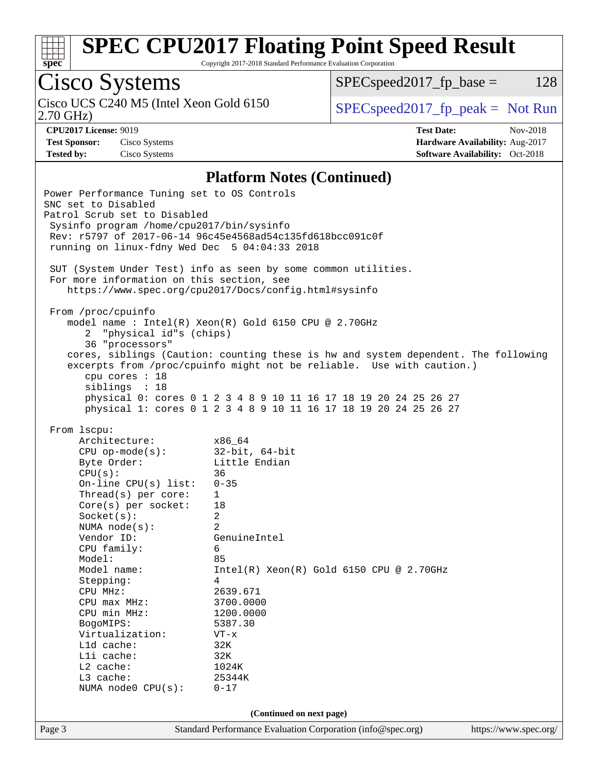

Copyright 2017-2018 Standard Performance Evaluation Corporation

# Cisco Systems

2.70 GHz) Cisco UCS C240 M5 (Intel Xeon Gold 6150 [SPECspeed2017\\_fp\\_peak =](http://www.spec.org/auto/cpu2017/Docs/result-fields.html#SPECspeed2017fppeak) Not Run

 $SPECspeed2017_fp\_base = 128$ 

**[Test Sponsor:](http://www.spec.org/auto/cpu2017/Docs/result-fields.html#TestSponsor)** Cisco Systems **[Hardware Availability:](http://www.spec.org/auto/cpu2017/Docs/result-fields.html#HardwareAvailability)** Aug-2017 **[Tested by:](http://www.spec.org/auto/cpu2017/Docs/result-fields.html#Testedby)** Cisco Systems **[Software Availability:](http://www.spec.org/auto/cpu2017/Docs/result-fields.html#SoftwareAvailability)** Oct-2018

**[CPU2017 License:](http://www.spec.org/auto/cpu2017/Docs/result-fields.html#CPU2017License)** 9019 **[Test Date:](http://www.spec.org/auto/cpu2017/Docs/result-fields.html#TestDate)** Nov-2018

### **[Platform Notes \(Continued\)](http://www.spec.org/auto/cpu2017/Docs/result-fields.html#PlatformNotes)**

| Power Performance Tuning set to OS Controls<br>SNC set to Disabled<br>Patrol Scrub set to Disabled<br>Sysinfo program /home/cpu2017/bin/sysinfo<br>running on linux-fdny Wed Dec 5 04:04:33 2018                                                                                                                                                                                                                           | Rev: r5797 of 2017-06-14 96c45e4568ad54c135fd618bcc091c0f                                                                                                                                                                                                                                                                                                    |                       |  |  |
|----------------------------------------------------------------------------------------------------------------------------------------------------------------------------------------------------------------------------------------------------------------------------------------------------------------------------------------------------------------------------------------------------------------------------|--------------------------------------------------------------------------------------------------------------------------------------------------------------------------------------------------------------------------------------------------------------------------------------------------------------------------------------------------------------|-----------------------|--|--|
| SUT (System Under Test) info as seen by some common utilities.<br>For more information on this section, see<br>https://www.spec.org/cpu2017/Docs/config.html#sysinfo                                                                                                                                                                                                                                                       |                                                                                                                                                                                                                                                                                                                                                              |                       |  |  |
| From /proc/cpuinfo<br>"physical id"s (chips)<br>2.<br>36 "processors"<br>cpu cores : 18<br>siblings : 18                                                                                                                                                                                                                                                                                                                   | model name : Intel(R) Xeon(R) Gold 6150 CPU @ 2.70GHz<br>cores, siblings (Caution: counting these is hw and system dependent. The following<br>excerpts from /proc/cpuinfo might not be reliable. Use with caution.)<br>physical 0: cores 0 1 2 3 4 8 9 10 11 16 17 18 19 20 24 25 26 27<br>physical 1: cores 0 1 2 3 4 8 9 10 11 16 17 18 19 20 24 25 26 27 |                       |  |  |
| From 1scpu:<br>Architecture:<br>$CPU op-mode(s):$<br>Byte Order:<br>CPU(s):<br>On-line CPU $(s)$ list:<br>Thread(s) per core:<br>$Core(s)$ per socket:<br>Socket(s):<br>NUMA $node(s)$ :<br>Vendor ID:<br>CPU family:<br>Model:<br>Model name:<br>Stepping:<br>CPU MHz:<br>$CPU$ $max$ $MHz$ :<br>CPU min MHz:<br>BogoMIPS:<br>Virtualization:<br>Lld cache:<br>Lli cache:<br>L2 cache:<br>L3 cache:<br>NUMA node0 CPU(s): | x86_64<br>$32$ -bit, $64$ -bit<br>Little Endian<br>36<br>$0 - 35$<br>$\mathbf{1}$<br>18<br>$\overline{2}$<br>2<br>GenuineIntel<br>6<br>85<br>$Intel(R)$ Xeon $(R)$ Gold 6150 CPU @ 2.70GHz<br>4<br>2639.671<br>3700.0000<br>1200.0000<br>5387.30<br>VT-x<br>32K<br>32K<br>1024K<br>25344K<br>$0 - 17$<br>(Continued on next page)                            |                       |  |  |
| Page 3                                                                                                                                                                                                                                                                                                                                                                                                                     | Standard Performance Evaluation Corporation (info@spec.org)                                                                                                                                                                                                                                                                                                  | https://www.spec.org/ |  |  |
|                                                                                                                                                                                                                                                                                                                                                                                                                            |                                                                                                                                                                                                                                                                                                                                                              |                       |  |  |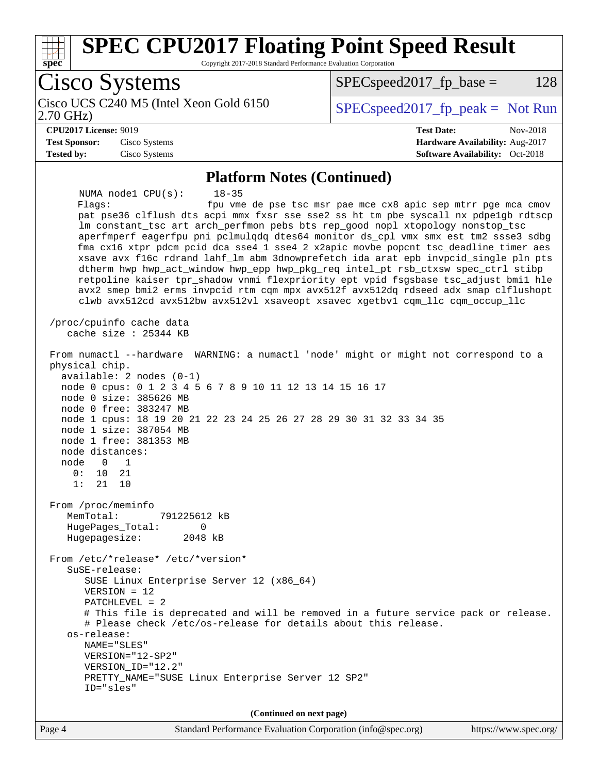

 dtherm hwp hwp\_act\_window hwp\_epp hwp\_pkg\_req intel\_pt rsb\_ctxsw spec\_ctrl stibp retpoline kaiser tpr\_shadow vnmi flexpriority ept vpid fsgsbase tsc\_adjust bmi1 hle avx2 smep bmi2 erms invpcid rtm cqm mpx avx512f avx512dq rdseed adx smap clflushopt clwb avx512cd avx512bw avx512vl xsaveopt xsavec xgetbv1 cqm\_llc cqm\_occup\_llc /proc/cpuinfo cache data cache size : 25344 KB From numactl --hardware WARNING: a numactl 'node' might or might not correspond to a physical chip. available: 2 nodes (0-1) node 0 cpus: 0 1 2 3 4 5 6 7 8 9 10 11 12 13 14 15 16 17 node 0 size: 385626 MB node 0 free: 383247 MB node 1 cpus: 18 19 20 21 22 23 24 25 26 27 28 29 30 31 32 33 34 35 node 1 size: 387054 MB node 1 free: 381353 MB node distances: node 0 1 0: 10 21 1: 21 10 From /proc/meminfo MemTotal: 791225612 kB HugePages\_Total: 0 Hugepagesize: 2048 kB From /etc/\*release\* /etc/\*version\* SuSE-release: SUSE Linux Enterprise Server 12 (x86\_64) VERSION = 12 PATCHLEVEL = 2 # This file is deprecated and will be removed in a future service pack or release. # Please check /etc/os-release for details about this release. os-release: NAME="SLES" VERSION="12-SP2" VERSION\_ID="12.2" PRETTY\_NAME="SUSE Linux Enterprise Server 12 SP2" ID="sles"

**(Continued on next page)**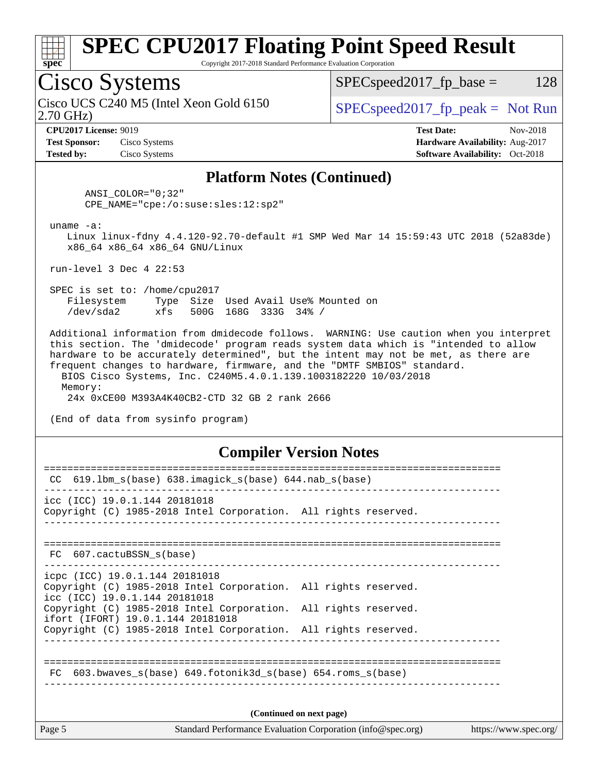

Copyright 2017-2018 Standard Performance Evaluation Corporation

## Cisco Systems

2.70 GHz) Cisco UCS C240 M5 (Intel Xeon Gold 6150  $SPEC speed2017<sub>fp</sub> peak = Not Run$ 

 $SPEC speed2017_fp\_base = 128$ 

**[Test Sponsor:](http://www.spec.org/auto/cpu2017/Docs/result-fields.html#TestSponsor)** Cisco Systems **[Hardware Availability:](http://www.spec.org/auto/cpu2017/Docs/result-fields.html#HardwareAvailability)** Aug-2017 **[Tested by:](http://www.spec.org/auto/cpu2017/Docs/result-fields.html#Testedby)** Cisco Systems **[Software Availability:](http://www.spec.org/auto/cpu2017/Docs/result-fields.html#SoftwareAvailability)** Oct-2018

**[CPU2017 License:](http://www.spec.org/auto/cpu2017/Docs/result-fields.html#CPU2017License)** 9019 **[Test Date:](http://www.spec.org/auto/cpu2017/Docs/result-fields.html#TestDate)** Nov-2018

### **[Platform Notes \(Continued\)](http://www.spec.org/auto/cpu2017/Docs/result-fields.html#PlatformNotes)**

 ANSI\_COLOR="0;32" CPE\_NAME="cpe:/o:suse:sles:12:sp2"

uname -a:

 Linux linux-fdny 4.4.120-92.70-default #1 SMP Wed Mar 14 15:59:43 UTC 2018 (52a83de) x86\_64 x86\_64 x86\_64 GNU/Linux

run-level 3 Dec 4 22:53

 SPEC is set to: /home/cpu2017 Filesystem Type Size Used Avail Use% Mounted on /dev/sda2 xfs 500G 168G 333G 34% /

 Additional information from dmidecode follows. WARNING: Use caution when you interpret this section. The 'dmidecode' program reads system data which is "intended to allow hardware to be accurately determined", but the intent may not be met, as there are frequent changes to hardware, firmware, and the "DMTF SMBIOS" standard. BIOS Cisco Systems, Inc. C240M5.4.0.1.139.1003182220 10/03/2018

 Memory: 24x 0xCE00 M393A4K40CB2-CTD 32 GB 2 rank 2666

(End of data from sysinfo program)

### **[Compiler Version Notes](http://www.spec.org/auto/cpu2017/Docs/result-fields.html#CompilerVersionNotes)**

| Page 5 |                                                                                                      | Standard Performance Evaluation Corporation (info@spec.org) | https://www.spec.org/ |
|--------|------------------------------------------------------------------------------------------------------|-------------------------------------------------------------|-----------------------|
|        |                                                                                                      | (Continued on next page)                                    |                       |
| FC     | 603.bwaves $s(base)$ 649.fotonik3d $s(base)$ 654.roms $s(base)$                                      |                                                             |                       |
|        |                                                                                                      |                                                             |                       |
|        | ifort (IFORT) 19.0.1.144 20181018<br>Copyright (C) 1985-2018 Intel Corporation. All rights reserved. |                                                             |                       |
|        | icc (ICC) 19.0.1.144 20181018<br>Copyright (C) 1985-2018 Intel Corporation. All rights reserved.     |                                                             |                       |
|        | icpc (ICC) 19.0.1.144 20181018<br>Copyright (C) 1985-2018 Intel Corporation. All rights reserved.    |                                                             |                       |
|        | FC 607.cactuBSSN_s(base)                                                                             |                                                             |                       |
|        |                                                                                                      |                                                             |                       |
|        | Copyright (C) 1985-2018 Intel Corporation. All rights reserved.                                      |                                                             |                       |
|        | icc (ICC) 19.0.1.144 20181018                                                                        |                                                             |                       |
| CC.    | $619.1$ bm_s(base) $638.imagick_s(base)$ $644.nab_s(base)$                                           |                                                             |                       |
|        |                                                                                                      |                                                             |                       |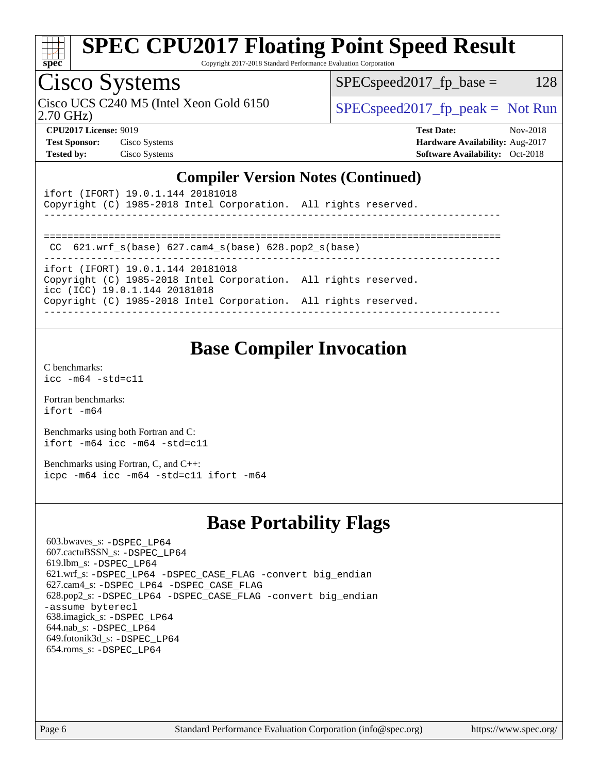

Copyright 2017-2018 Standard Performance Evaluation Corporation

## Cisco Systems

2.70 GHz) Cisco UCS C240 M5 (Intel Xeon Gold 6150  $SPEC speed2017<sub>fp</sub> peak = Not Run$ 

 $SPEC speed2017_fp\_base = 128$ 

**[Test Sponsor:](http://www.spec.org/auto/cpu2017/Docs/result-fields.html#TestSponsor)** Cisco Systems **[Hardware Availability:](http://www.spec.org/auto/cpu2017/Docs/result-fields.html#HardwareAvailability)** Aug-2017 **[Tested by:](http://www.spec.org/auto/cpu2017/Docs/result-fields.html#Testedby)** Cisco Systems **[Software Availability:](http://www.spec.org/auto/cpu2017/Docs/result-fields.html#SoftwareAvailability)** Oct-2018

**[CPU2017 License:](http://www.spec.org/auto/cpu2017/Docs/result-fields.html#CPU2017License)** 9019 **[Test Date:](http://www.spec.org/auto/cpu2017/Docs/result-fields.html#TestDate)** Nov-2018

## **[Compiler Version Notes \(Continued\)](http://www.spec.org/auto/cpu2017/Docs/result-fields.html#CompilerVersionNotes)**

| ifort (IFORT) 19.0.1.144 20181018<br>Copyright (C) 1985-2018 Intel Corporation. All rights reserved. |  |
|------------------------------------------------------------------------------------------------------|--|
| CC $621.$ wrf $s(base)$ $627.$ cam4 $s(base)$ $628.$ pop2 $s(base)$                                  |  |
| ifort (IFORT) 19.0.1.144 20181018                                                                    |  |
| Copyright (C) 1985-2018 Intel Corporation. All rights reserved.<br>icc (ICC) 19.0.1.144 20181018     |  |
| Copyright (C) 1985-2018 Intel Corporation. All rights reserved.                                      |  |
|                                                                                                      |  |

## **[Base Compiler Invocation](http://www.spec.org/auto/cpu2017/Docs/result-fields.html#BaseCompilerInvocation)**

[C benchmarks](http://www.spec.org/auto/cpu2017/Docs/result-fields.html#Cbenchmarks): [icc -m64 -std=c11](http://www.spec.org/cpu2017/results/res2018q4/cpu2017-20181211-10261.flags.html#user_CCbase_intel_icc_64bit_c11_33ee0cdaae7deeeab2a9725423ba97205ce30f63b9926c2519791662299b76a0318f32ddfffdc46587804de3178b4f9328c46fa7c2b0cd779d7a61945c91cd35)

[Fortran benchmarks](http://www.spec.org/auto/cpu2017/Docs/result-fields.html#Fortranbenchmarks): [ifort -m64](http://www.spec.org/cpu2017/results/res2018q4/cpu2017-20181211-10261.flags.html#user_FCbase_intel_ifort_64bit_24f2bb282fbaeffd6157abe4f878425411749daecae9a33200eee2bee2fe76f3b89351d69a8130dd5949958ce389cf37ff59a95e7a40d588e8d3a57e0c3fd751)

[Benchmarks using both Fortran and C](http://www.spec.org/auto/cpu2017/Docs/result-fields.html#BenchmarksusingbothFortranandC): [ifort -m64](http://www.spec.org/cpu2017/results/res2018q4/cpu2017-20181211-10261.flags.html#user_CC_FCbase_intel_ifort_64bit_24f2bb282fbaeffd6157abe4f878425411749daecae9a33200eee2bee2fe76f3b89351d69a8130dd5949958ce389cf37ff59a95e7a40d588e8d3a57e0c3fd751) [icc -m64 -std=c11](http://www.spec.org/cpu2017/results/res2018q4/cpu2017-20181211-10261.flags.html#user_CC_FCbase_intel_icc_64bit_c11_33ee0cdaae7deeeab2a9725423ba97205ce30f63b9926c2519791662299b76a0318f32ddfffdc46587804de3178b4f9328c46fa7c2b0cd779d7a61945c91cd35)

[Benchmarks using Fortran, C, and C++:](http://www.spec.org/auto/cpu2017/Docs/result-fields.html#BenchmarksusingFortranCandCXX) [icpc -m64](http://www.spec.org/cpu2017/results/res2018q4/cpu2017-20181211-10261.flags.html#user_CC_CXX_FCbase_intel_icpc_64bit_4ecb2543ae3f1412ef961e0650ca070fec7b7afdcd6ed48761b84423119d1bf6bdf5cad15b44d48e7256388bc77273b966e5eb805aefd121eb22e9299b2ec9d9) [icc -m64 -std=c11](http://www.spec.org/cpu2017/results/res2018q4/cpu2017-20181211-10261.flags.html#user_CC_CXX_FCbase_intel_icc_64bit_c11_33ee0cdaae7deeeab2a9725423ba97205ce30f63b9926c2519791662299b76a0318f32ddfffdc46587804de3178b4f9328c46fa7c2b0cd779d7a61945c91cd35) [ifort -m64](http://www.spec.org/cpu2017/results/res2018q4/cpu2017-20181211-10261.flags.html#user_CC_CXX_FCbase_intel_ifort_64bit_24f2bb282fbaeffd6157abe4f878425411749daecae9a33200eee2bee2fe76f3b89351d69a8130dd5949958ce389cf37ff59a95e7a40d588e8d3a57e0c3fd751)

## **[Base Portability Flags](http://www.spec.org/auto/cpu2017/Docs/result-fields.html#BasePortabilityFlags)**

 603.bwaves\_s: [-DSPEC\\_LP64](http://www.spec.org/cpu2017/results/res2018q4/cpu2017-20181211-10261.flags.html#suite_basePORTABILITY603_bwaves_s_DSPEC_LP64) 607.cactuBSSN\_s: [-DSPEC\\_LP64](http://www.spec.org/cpu2017/results/res2018q4/cpu2017-20181211-10261.flags.html#suite_basePORTABILITY607_cactuBSSN_s_DSPEC_LP64) 619.lbm\_s: [-DSPEC\\_LP64](http://www.spec.org/cpu2017/results/res2018q4/cpu2017-20181211-10261.flags.html#suite_basePORTABILITY619_lbm_s_DSPEC_LP64) 621.wrf\_s: [-DSPEC\\_LP64](http://www.spec.org/cpu2017/results/res2018q4/cpu2017-20181211-10261.flags.html#suite_basePORTABILITY621_wrf_s_DSPEC_LP64) [-DSPEC\\_CASE\\_FLAG](http://www.spec.org/cpu2017/results/res2018q4/cpu2017-20181211-10261.flags.html#b621.wrf_s_baseCPORTABILITY_DSPEC_CASE_FLAG) [-convert big\\_endian](http://www.spec.org/cpu2017/results/res2018q4/cpu2017-20181211-10261.flags.html#user_baseFPORTABILITY621_wrf_s_convert_big_endian_c3194028bc08c63ac5d04de18c48ce6d347e4e562e8892b8bdbdc0214820426deb8554edfa529a3fb25a586e65a3d812c835984020483e7e73212c4d31a38223) 627.cam4\_s: [-DSPEC\\_LP64](http://www.spec.org/cpu2017/results/res2018q4/cpu2017-20181211-10261.flags.html#suite_basePORTABILITY627_cam4_s_DSPEC_LP64) [-DSPEC\\_CASE\\_FLAG](http://www.spec.org/cpu2017/results/res2018q4/cpu2017-20181211-10261.flags.html#b627.cam4_s_baseCPORTABILITY_DSPEC_CASE_FLAG) 628.pop2\_s: [-DSPEC\\_LP64](http://www.spec.org/cpu2017/results/res2018q4/cpu2017-20181211-10261.flags.html#suite_basePORTABILITY628_pop2_s_DSPEC_LP64) [-DSPEC\\_CASE\\_FLAG](http://www.spec.org/cpu2017/results/res2018q4/cpu2017-20181211-10261.flags.html#b628.pop2_s_baseCPORTABILITY_DSPEC_CASE_FLAG) [-convert big\\_endian](http://www.spec.org/cpu2017/results/res2018q4/cpu2017-20181211-10261.flags.html#user_baseFPORTABILITY628_pop2_s_convert_big_endian_c3194028bc08c63ac5d04de18c48ce6d347e4e562e8892b8bdbdc0214820426deb8554edfa529a3fb25a586e65a3d812c835984020483e7e73212c4d31a38223) [-assume byterecl](http://www.spec.org/cpu2017/results/res2018q4/cpu2017-20181211-10261.flags.html#user_baseFPORTABILITY628_pop2_s_assume_byterecl_7e47d18b9513cf18525430bbf0f2177aa9bf368bc7a059c09b2c06a34b53bd3447c950d3f8d6c70e3faf3a05c8557d66a5798b567902e8849adc142926523472) 638.imagick\_s: [-DSPEC\\_LP64](http://www.spec.org/cpu2017/results/res2018q4/cpu2017-20181211-10261.flags.html#suite_basePORTABILITY638_imagick_s_DSPEC_LP64) 644.nab\_s: [-DSPEC\\_LP64](http://www.spec.org/cpu2017/results/res2018q4/cpu2017-20181211-10261.flags.html#suite_basePORTABILITY644_nab_s_DSPEC_LP64) 649.fotonik3d\_s: [-DSPEC\\_LP64](http://www.spec.org/cpu2017/results/res2018q4/cpu2017-20181211-10261.flags.html#suite_basePORTABILITY649_fotonik3d_s_DSPEC_LP64) 654.roms\_s: [-DSPEC\\_LP64](http://www.spec.org/cpu2017/results/res2018q4/cpu2017-20181211-10261.flags.html#suite_basePORTABILITY654_roms_s_DSPEC_LP64)